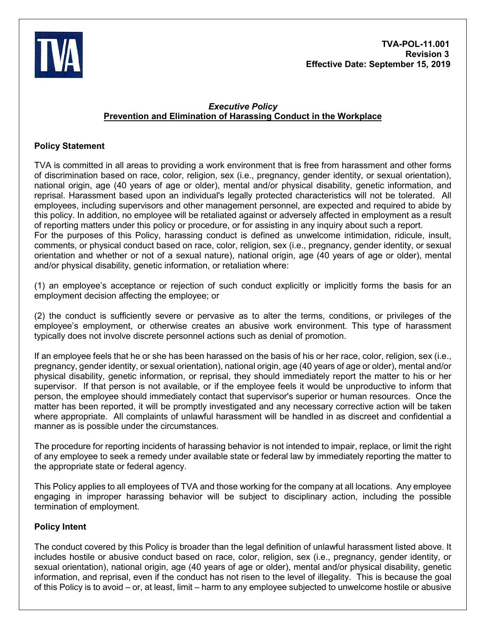

# *Executive Policy* **Prevention and Elimination of Harassing Conduct in the Workplace**

# **Policy Statement**

TVA is committed in all areas to providing a work environment that is free from harassment and other forms of discrimination based on race, color, religion, sex (i.e., pregnancy, gender identity, or sexual orientation), national origin, age (40 years of age or older), mental and/or physical disability, genetic information, and reprisal. Harassment based upon an individual's legally protected characteristics will not be tolerated. All employees, including supervisors and other management personnel, are expected and required to abide by this policy. In addition, no employee will be retaliated against or adversely affected in employment as a result of reporting matters under this policy or procedure, or for assisting in any inquiry about such a report. For the purposes of this Policy, harassing conduct is defined as unwelcome intimidation, ridicule, insult, comments, or physical conduct based on race, color, religion, sex (i.e., pregnancy, gender identity, or sexual orientation and whether or not of a sexual nature), national origin, age (40 years of age or older), mental and/or physical disability, genetic information, or retaliation where:

(1) an employee's acceptance or rejection of such conduct explicitly or implicitly forms the basis for an employment decision affecting the employee; or

(2) the conduct is sufficiently severe or pervasive as to alter the terms, conditions, or privileges of the employee's employment, or otherwise creates an abusive work environment. This type of harassment typically does not involve discrete personnel actions such as denial of promotion.

If an employee feels that he or she has been harassed on the basis of his or her race, color, religion, sex (i.e., pregnancy, gender identity, or sexual orientation), national origin, age (40 years of age or older), mental and/or physical disability, genetic information, or reprisal, they should immediately report the matter to his or her supervisor. If that person is not available, or if the employee feels it would be unproductive to inform that person, the employee should immediately contact that supervisor's superior or human resources. Once the matter has been reported, it will be promptly investigated and any necessary corrective action will be taken where appropriate. All complaints of unlawful harassment will be handled in as discreet and confidential a manner as is possible under the circumstances.

The procedure for reporting incidents of harassing behavior is not intended to impair, replace, or limit the right of any employee to seek a remedy under available state or federal law by immediately reporting the matter to the appropriate state or federal agency.

This Policy applies to all employees of TVA and those working for the company at all locations. Any employee engaging in improper harassing behavior will be subject to disciplinary action, including the possible termination of employment.

# **Policy Intent**

The conduct covered by this Policy is broader than the legal definition of unlawful harassment listed above. It includes hostile or abusive conduct based on race, color, religion, sex (i.e., pregnancy, gender identity, or sexual orientation), national origin, age (40 years of age or older), mental and/or physical disability, genetic information, and reprisal, even if the conduct has not risen to the level of illegality. This is because the goal of this Policy is to avoid – or, at least, limit – harm to any employee subjected to unwelcome hostile or abusive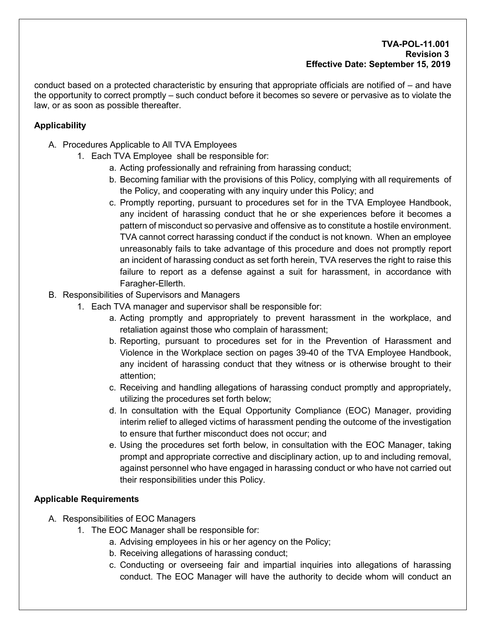### **TVA-POL-11.001 Revision 3 Effective Date: September 15, 2019**

conduct based on a protected characteristic by ensuring that appropriate officials are notified of – and have the opportunity to correct promptly – such conduct before it becomes so severe or pervasive as to violate the law, or as soon as possible thereafter.

# **Applicability**

- A. Procedures Applicable to All TVA Employees
	- 1. Each TVA Employee shall be responsible for:
		- a. Acting professionally and refraining from harassing conduct;
		- b. Becoming familiar with the provisions of this Policy, complying with all requirements of the Policy, and cooperating with any inquiry under this Policy; and
		- c. Promptly reporting, pursuant to procedures set for in the TVA Employee Handbook, any incident of harassing conduct that he or she experiences before it becomes a pattern of misconduct so pervasive and offensive as to constitute a hostile environment. TVA cannot correct harassing conduct if the conduct is not known. When an employee unreasonably fails to take advantage of this procedure and does not promptly report an incident of harassing conduct as set forth herein, TVA reserves the right to raise this failure to report as a defense against a suit for harassment, in accordance with Faragher-Ellerth.
- B. Responsibilities of Supervisors and Managers
	- 1. Each TVA manager and supervisor shall be responsible for:
		- a. Acting promptly and appropriately to prevent harassment in the workplace, and retaliation against those who complain of harassment;
		- b. Reporting, pursuant to procedures set for in the Prevention of Harassment and Violence in the Workplace section on pages 39-40 of the TVA Employee Handbook, any incident of harassing conduct that they witness or is otherwise brought to their attention;
		- c. Receiving and handling allegations of harassing conduct promptly and appropriately, utilizing the procedures set forth below;
		- d. In consultation with the Equal Opportunity Compliance (EOC) Manager, providing interim relief to alleged victims of harassment pending the outcome of the investigation to ensure that further misconduct does not occur; and
		- e. Using the procedures set forth below, in consultation with the EOC Manager, taking prompt and appropriate corrective and disciplinary action, up to and including removal, against personnel who have engaged in harassing conduct or who have not carried out their responsibilities under this Policy.

# **Applicable Requirements**

- A. Responsibilities of EOC Managers
	- 1. The EOC Manager shall be responsible for:
		- a. Advising employees in his or her agency on the Policy;
		- b. Receiving allegations of harassing conduct;
		- c. Conducting or overseeing fair and impartial inquiries into allegations of harassing conduct. The EOC Manager will have the authority to decide whom will conduct an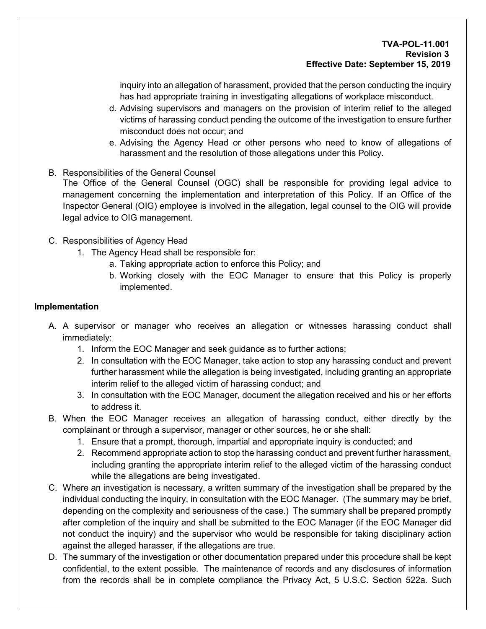inquiry into an allegation of harassment, provided that the person conducting the inquiry has had appropriate training in investigating allegations of workplace misconduct.

- d. Advising supervisors and managers on the provision of interim relief to the alleged victims of harassing conduct pending the outcome of the investigation to ensure further misconduct does not occur; and
- e. Advising the Agency Head or other persons who need to know of allegations of harassment and the resolution of those allegations under this Policy.
- B. Responsibilities of the General Counsel

The Office of the General Counsel (OGC) shall be responsible for providing legal advice to management concerning the implementation and interpretation of this Policy. If an Office of the Inspector General (OIG) employee is involved in the allegation, legal counsel to the OIG will provide legal advice to OIG management.

- C. Responsibilities of Agency Head
	- 1. The Agency Head shall be responsible for:
		- a. Taking appropriate action to enforce this Policy; and
		- b. Working closely with the EOC Manager to ensure that this Policy is properly implemented.

### **Implementation**

- A. A supervisor or manager who receives an allegation or witnesses harassing conduct shall immediately:
	- 1. Inform the EOC Manager and seek guidance as to further actions;
	- 2. In consultation with the EOC Manager, take action to stop any harassing conduct and prevent further harassment while the allegation is being investigated, including granting an appropriate interim relief to the alleged victim of harassing conduct; and
	- 3. In consultation with the EOC Manager, document the allegation received and his or her efforts to address it.
- B. When the EOC Manager receives an allegation of harassing conduct, either directly by the complainant or through a supervisor, manager or other sources, he or she shall:
	- 1. Ensure that a prompt, thorough, impartial and appropriate inquiry is conducted; and
	- 2. Recommend appropriate action to stop the harassing conduct and prevent further harassment, including granting the appropriate interim relief to the alleged victim of the harassing conduct while the allegations are being investigated.
- C. Where an investigation is necessary, a written summary of the investigation shall be prepared by the individual conducting the inquiry, in consultation with the EOC Manager. (The summary may be brief, depending on the complexity and seriousness of the case.) The summary shall be prepared promptly after completion of the inquiry and shall be submitted to the EOC Manager (if the EOC Manager did not conduct the inquiry) and the supervisor who would be responsible for taking disciplinary action against the alleged harasser, if the allegations are true.
- D. The summary of the investigation or other documentation prepared under this procedure shall be kept confidential, to the extent possible. The maintenance of records and any disclosures of information from the records shall be in complete compliance the Privacy Act, 5 U.S.C. Section 522a. Such